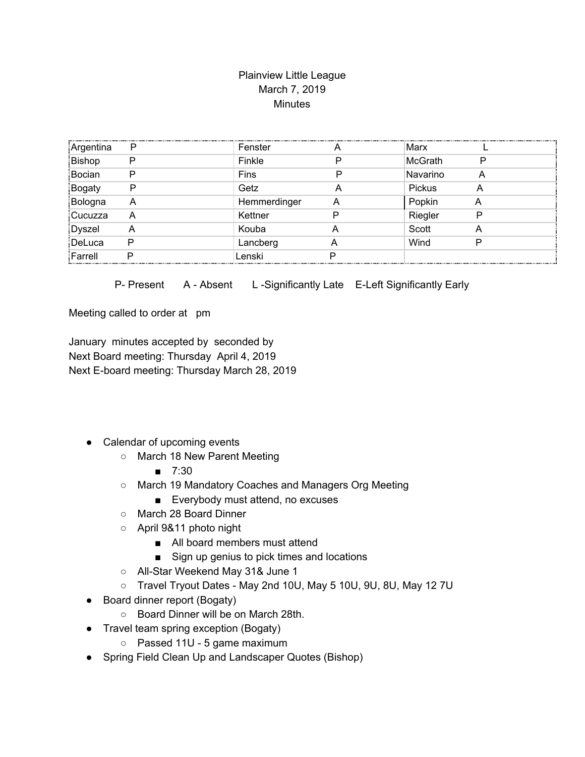## Plainview Little League March 7, 2019 **Minutes**

| Argentina     | P | Fenster      |   | Marx           |   |
|---------------|---|--------------|---|----------------|---|
| Bishop        | P | Finkle       | ס | <b>McGrath</b> | P |
| Bocian        | Р | Fins         | D | Navarino       | A |
| <b>Bogaty</b> | P | Getz         | А | Pickus         | Α |
| Bologna       | Α | Hemmerdinger | Α | Popkin         |   |
| Cucuzza       | A | Kettner      | D | Riegler        | D |
| Dyszel        | A | Kouba        | A | Scott          | Α |
| DeLuca        | P | Lancberg     | A | Wind           |   |
| Farrell       | D | Lenski       | ם |                |   |

P- Present A - Absent L-Significantly Late E-Left Significantly Early

Meeting called to order at pm

January minutes accepted by seconded by Next Board meeting: Thursday April 4, 2019 Next E-board meeting: Thursday March 28, 2019

- Calendar of upcoming events
	- March 18 New Parent Meeting
		- 7:30
	- March 19 Mandatory Coaches and Managers Org Meeting
		- Everybody must attend, no excuses
	- March 28 Board Dinner
	- April 9&11 photo night
		- All board members must attend
		- Sign up genius to pick times and locations
	- All-Star Weekend May 31& June 1
	- Travel Tryout Dates May 2nd 10U, May 5 10U, 9U, 8U, May 12 7U
- Board dinner report (Bogaty)
	- Board Dinner will be on March 28th.
- Travel team spring exception (Bogaty)
	- Passed 11U 5 game maximum
- Spring Field Clean Up and Landscaper Quotes (Bishop)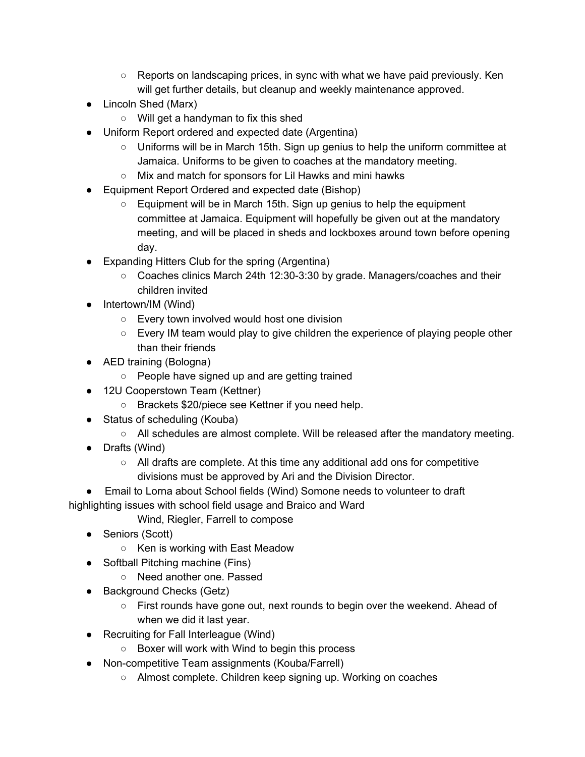- $\circ$  Reports on landscaping prices, in sync with what we have paid previously. Ken will get further details, but cleanup and weekly maintenance approved.
- Lincoln Shed (Marx)
	- Will get a handyman to fix this shed
- Uniform Report ordered and expected date (Argentina)
	- Uniforms will be in March 15th. Sign up genius to help the uniform committee at Jamaica. Uniforms to be given to coaches at the mandatory meeting.
	- Mix and match for sponsors for Lil Hawks and mini hawks
- Equipment Report Ordered and expected date (Bishop)
	- Equipment will be in March 15th. Sign up genius to help the equipment committee at Jamaica. Equipment will hopefully be given out at the mandatory meeting, and will be placed in sheds and lockboxes around town before opening day.
- Expanding Hitters Club for the spring (Argentina)
	- Coaches clinics March 24th 12:30-3:30 by grade. Managers/coaches and their children invited
- Intertown/IM (Wind)
	- Every town involved would host one division
	- Every IM team would play to give children the experience of playing people other than their friends
- AED training (Bologna)
	- People have signed up and are getting trained
- 12U Cooperstown Team (Kettner)
	- Brackets \$20/piece see Kettner if you need help.
- Status of scheduling (Kouba)
	- All schedules are almost complete. Will be released after the mandatory meeting.
- Drafts (Wind)
	- All drafts are complete. At this time any additional add ons for competitive divisions must be approved by Ari and the Division Director.
- Email to Lorna about School fields (Wind) Somone needs to volunteer to draft highlighting issues with school field usage and Braico and Ward
	- Wind, Riegler, Farrell to compose
	- Seniors (Scott)
		- Ken is working with East Meadow
	- Softball Pitching machine (Fins)
		- Need another one. Passed
	- Background Checks (Getz)
		- $\circ$  First rounds have gone out, next rounds to begin over the weekend. Ahead of when we did it last year.
	- Recruiting for Fall Interleague (Wind)
		- Boxer will work with Wind to begin this process
	- Non-competitive Team assignments (Kouba/Farrell)
		- Almost complete. Children keep signing up. Working on coaches